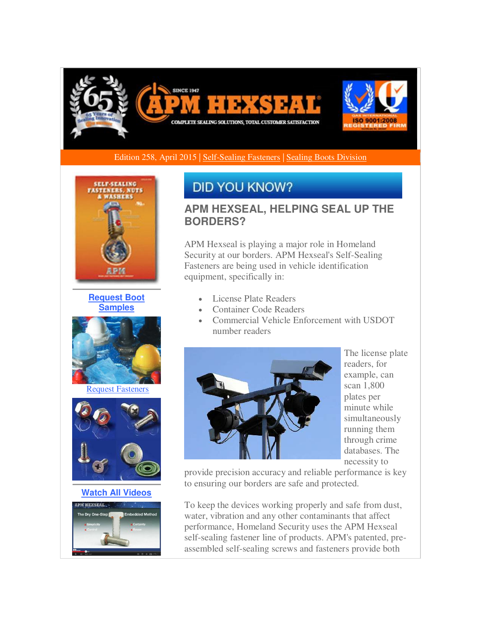

Edition 258, April 2015 | [Self-Sealing Fasteners](http://r20.rs6.net/tn.jsp?f=001dLwOV80_sbpV8M7polEXC9Kvb1kUr1YHhDk5McmUbN6mVWTBpsXwHFGO5C9X0HqjSGWvSTXHoo24B83YvIhvO20nZwOY0QJl2g5PGzmfG--9TLPRCqihiEdFpJJhWngsDmrTA_YyBwAhFZJhjdehfeTSLME8pB8R_bkzqk_US0LkEBxZTymobxXoY30sdXS06aFL8iesTuDtlMCXpwrwWhj8kSGvLMfGdJfyKhefRCX_7uAkywcyFGjENiUpGsoPEKPPLGb3l-uKyl92WXez3midTBZkBD9VMMWF9OOwZEdQzQsqopXKMjhIWetwqjTT&c=Q5tjSjlAEwOEVWOAe_4PV6htzocuoN1wsHqZjQjQ7LSRFQL2l3RCfA==&ch=d-XaZi04lvPbxBX-p6s3Swb3vRMxJ3TEqUsCZONT4DA3W68OQn-QsA==) [| Sealing Boots Division](http://r20.rs6.net/tn.jsp?f=001dLwOV80_sbpV8M7polEXC9Kvb1kUr1YHhDk5McmUbN6mVWTBpsXwHFGO5C9X0HqjO6YevoVDsukh_c0r3hBLdtaZAKGXeNrniRjsgzuQoMK_PbqyXtyyYx_FIJvb10VvZCroOPcypdGRJ_PlkYNVb6YaEMXaqhQvBbz5vprAfEdtjnw01QfW3n_T-C25okj1qbwqOC0QO4j-CmnAE2SPMgHZHci6OpA5xxPQ7Stfrp-UzLAJa0Wm1k-y6ld0vXfcXxuIKjXjer-ZJczRrpkz0p0b-CAx9hquV5SCiwnQgsS5KQ3Pd9O8oA==&c=Q5tjSjlAEwOEVWOAe_4PV6htzocuoN1wsHqZjQjQ7LSRFQL2l3RCfA==&ch=d-XaZi04lvPbxBX-p6s3Swb3vRMxJ3TEqUsCZONT4DA3W68OQn-QsA==) 



**[Request Boot](http://r20.rs6.net/tn.jsp?f=001dLwOV80_sbpV8M7polEXC9Kvb1kUr1YHhDk5McmUbN6mVWTBpsXwHFGO5C9X0HqjVcaChfmrjw0ypa2u_-FSU2SRWJX2HuNSrqL-3bSt09lMWJWPBvIBh-J8vOemh_M6yXfzckbZcUva7ILpmjgytImvZSg7Zo-9fXETVbfKb25Mya7lyriB-6sVYLdTz0V-tQOmbP3uM4DX59ed7ZXMO-lRwSkLobghX1EJJdc_eCvbfuVNBI_TCH8fYgarC4yaWnpb0X9p6Qc70deO9bujeG_1Yqj6amm-Xojk7KcL4BqfWxRFaxlT2u6EfCg19o0zaULS36I-Uks=&c=Q5tjSjlAEwOEVWOAe_4PV6htzocuoN1wsHqZjQjQ7LSRFQL2l3RCfA==&ch=d-XaZi04lvPbxBX-p6s3Swb3vRMxJ3TEqUsCZONT4DA3W68OQn-QsA==)  [Samples](http://r20.rs6.net/tn.jsp?f=001dLwOV80_sbpV8M7polEXC9Kvb1kUr1YHhDk5McmUbN6mVWTBpsXwHFGO5C9X0HqjVcaChfmrjw0ypa2u_-FSU2SRWJX2HuNSrqL-3bSt09lMWJWPBvIBh-J8vOemh_M6yXfzckbZcUva7ILpmjgytImvZSg7Zo-9fXETVbfKb25Mya7lyriB-6sVYLdTz0V-tQOmbP3uM4DX59ed7ZXMO-lRwSkLobghX1EJJdc_eCvbfuVNBI_TCH8fYgarC4yaWnpb0X9p6Qc70deO9bujeG_1Yqj6amm-Xojk7KcL4BqfWxRFaxlT2u6EfCg19o0zaULS36I-Uks=&c=Q5tjSjlAEwOEVWOAe_4PV6htzocuoN1wsHqZjQjQ7LSRFQL2l3RCfA==&ch=d-XaZi04lvPbxBX-p6s3Swb3vRMxJ3TEqUsCZONT4DA3W68OQn-QsA==)**



[Request Fasteners](http://r20.rs6.net/tn.jsp?f=001dLwOV80_sbpV8M7polEXC9Kvb1kUr1YHhDk5McmUbN6mVWTBpsXwHFGO5C9X0Hqjphd0fPjJd6cNdTyzhGJc4Pfed8QQZumTbuKpVMdvnT-tu_5L7XKEFqEwkw_6bCgvRHzSBnCvDOcIweHOce-ILuF3wv143935e_SEvc-san5aWqfqlQlohlHtX5iM5z-Csd7DJXx_L6Vl-DMUxz8EU9cKNJ05cPbcnMvExOr1j2pWpUS8BP1vqOuHFCrYxNWWXDc3VTDYJO-SHHYMTAvXohDF7SUyj0ipGN9j_2HeBTDyUCAgE0tDzg==&c=Q5tjSjlAEwOEVWOAe_4PV6htzocuoN1wsHqZjQjQ7LSRFQL2l3RCfA==&ch=d-XaZi04lvPbxBX-p6s3Swb3vRMxJ3TEqUsCZONT4DA3W68OQn-QsA==)



**[Watch All Videos](http://r20.rs6.net/tn.jsp?f=001dLwOV80_sbpV8M7polEXC9Kvb1kUr1YHhDk5McmUbN6mVWTBpsXwHFGO5C9X0HqjByOVlPBiPM6L15MswSaNh1A9ESgzXxYXMLFP6gQCbUC2DKMXBKvs6FU4WOvSLubkgXxDY3r7ced0QRp3cM9Uc8ui6dQ8CasEQNeWTV4bt8V9TSUBdYR5D6uFxMTMfWHeUdS1IzbFaE7H5rIMK4dfs5YnRNUoAGaowLwMROKD8yE5ZT9cMalSGTM1heZusDC99RrISptCyinaQUP2TdM56D8pNPlQdkCuApOJjtikJlg=&c=Q5tjSjlAEwOEVWOAe_4PV6htzocuoN1wsHqZjQjQ7LSRFQL2l3RCfA==&ch=d-XaZi04lvPbxBX-p6s3Swb3vRMxJ3TEqUsCZONT4DA3W68OQn-QsA==)**



# **DID YOU KNOW?**

## **APM HEXSEAL, HELPING SEAL UP THE BORDERS?**

APM Hexseal is playing a major role in Homeland Security at our borders. APM Hexseal's Self-Sealing Fasteners are being used in vehicle identification equipment, specifically in:

- License Plate Readers
- Container Code Readers
- Commercial Vehicle Enforcement with USDOT number readers



The license plate readers, for example, can scan 1,800 plates per minute while simultaneously running them through crime databases. The necessity to

provide precision accuracy and reliable performance is key to ensuring our borders are safe and protected.

To keep the devices working properly and safe from dust, water, vibration and any other contaminants that affect performance, Homeland Security uses the APM Hexseal self-sealing fastener line of products. APM's patented, preassembled self-sealing screws and fasteners provide both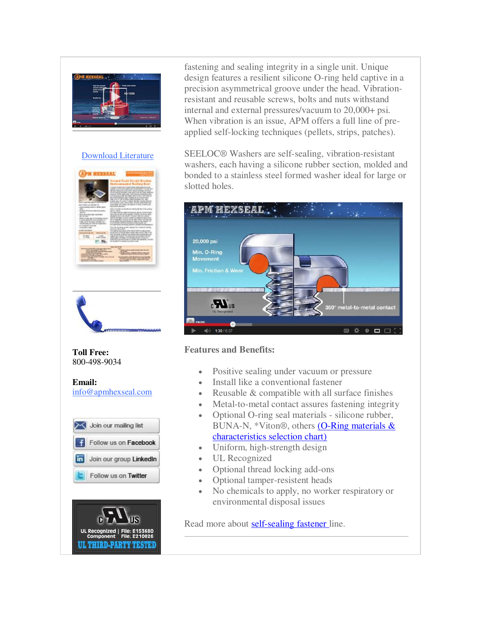

#### [Download Literature](http://r20.rs6.net/tn.jsp?f=001dLwOV80_sbpV8M7polEXC9Kvb1kUr1YHhDk5McmUbN6mVWTBpsXwHFGO5C9X0HqjlhTmXRcEIdBN31oMK-Q9YTj2MoYrDmHh3z4XFwExa2HNAJAc-RrjyviCqHlga4hWHx8_Mic7LbAddWcnKUJ96oNN52V3ROfauiB8PyknpOQvH0GaQiLgjaO3gFt3BOdaSwaIkqGdncpeO0qcrwy3sfSwAnkv9QUMELHfaAyKtDBYilF9AwHJl3JyQXj9KPptfhjaa8arVLwDDhlf7iEJDfmOfvDVI2Zql9U5DVZk_w8=&c=Q5tjSjlAEwOEVWOAe_4PV6htzocuoN1wsHqZjQjQ7LSRFQL2l3RCfA==&ch=d-XaZi04lvPbxBX-p6s3Swb3vRMxJ3TEqUsCZONT4DA3W68OQn-QsA==)





**Toll Free:**  800-498-9034

**Email:** [info@apmhexseal.com](mailto:info@apmhexseal.com)





fastening and sealing integrity in a single unit. Unique design features a resilient silicone O-ring held captive in a precision asymmetrical groove under the head. Vibrationresistant and reusable screws, bolts and nuts withstand internal and external pressures/vacuum to 20,000+ psi. When vibration is an issue, APM offers a full line of preapplied self-locking techniques (pellets, strips, patches).

SEELOC® Washers are self-sealing, vibration-resistant washers, each having a silicone rubber section, molded and bonded to a stainless steel formed washer ideal for large or slotted holes.



#### **Features and Benefits:**

- Positive sealing under vacuum or pressure
- Install like a conventional fastener
- Reusable  $&$  compatible with all surface finishes
- Metal-to-metal contact assures fastening integrity
- Optional O-ring seal materials silicone rubber, BUNA-N, \*Viton®, others [\(O-Ring materials &](http://r20.rs6.net/tn.jsp?f=001dLwOV80_sbpV8M7polEXC9Kvb1kUr1YHhDk5McmUbN6mVWTBpsXwHAUHK2Xjb5WP1JBqG-e-iy5HgU8H5VLyKNPXlsCmK2AMUro9N5IlT_CmhPJ8pAydCMAemw6Mo4vCyoP2efvO8xzJib7dKjCmntNwYUMCCGTiq4fmWKVBRaEL-_zQZRYeg_wWYiq-F-7v4Qut8bEQP_RAv0KBrnT2uKJ1x8pPSODF674Qxg2FofMzqY-BORKZtapQhcDXsYb7VVjI6iCjYxHafIZfwPJl7ZsSnR8Jwr7Oi1Z12PolLteSyFrKVzN7CuE0HCqhHuSpkevxrXt9DjA=&c=Q5tjSjlAEwOEVWOAe_4PV6htzocuoN1wsHqZjQjQ7LSRFQL2l3RCfA==&ch=d-XaZi04lvPbxBX-p6s3Swb3vRMxJ3TEqUsCZONT4DA3W68OQn-QsA==)  [characteristics selection chart\)](http://r20.rs6.net/tn.jsp?f=001dLwOV80_sbpV8M7polEXC9Kvb1kUr1YHhDk5McmUbN6mVWTBpsXwHAUHK2Xjb5WP1JBqG-e-iy5HgU8H5VLyKNPXlsCmK2AMUro9N5IlT_CmhPJ8pAydCMAemw6Mo4vCyoP2efvO8xzJib7dKjCmntNwYUMCCGTiq4fmWKVBRaEL-_zQZRYeg_wWYiq-F-7v4Qut8bEQP_RAv0KBrnT2uKJ1x8pPSODF674Qxg2FofMzqY-BORKZtapQhcDXsYb7VVjI6iCjYxHafIZfwPJl7ZsSnR8Jwr7Oi1Z12PolLteSyFrKVzN7CuE0HCqhHuSpkevxrXt9DjA=&c=Q5tjSjlAEwOEVWOAe_4PV6htzocuoN1wsHqZjQjQ7LSRFQL2l3RCfA==&ch=d-XaZi04lvPbxBX-p6s3Swb3vRMxJ3TEqUsCZONT4DA3W68OQn-QsA==)
- Uniform, high-strength design
- UL Recognized
- Optional thread locking add-ons
- Optional tamper-resistent heads
- No chemicals to apply, no worker respiratory or environmental disposal issues

Read more about **self-sealing fastener** line.